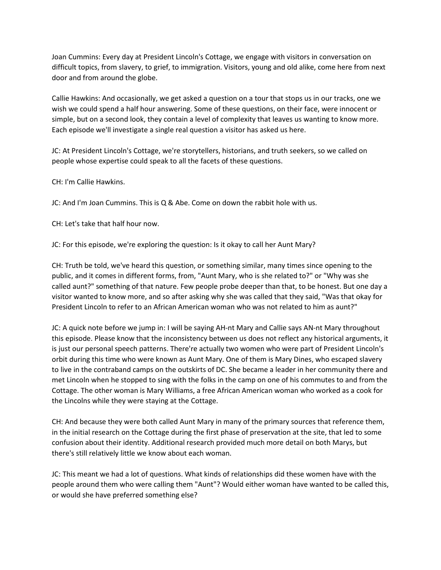Joan Cummins: Every day at President Lincoln's Cottage, we engage with visitors in conversation on difficult topics, from slavery, to grief, to immigration. Visitors, young and old alike, come here from next door and from around the globe.

Callie Hawkins: And occasionally, we get asked a question on a tour that stops us in our tracks, one we wish we could spend a half hour answering. Some of these questions, on their face, were innocent or simple, but on a second look, they contain a level of complexity that leaves us wanting to know more. Each episode we'll investigate a single real question a visitor has asked us here.

JC: At President Lincoln's Cottage, we're storytellers, historians, and truth seekers, so we called on people whose expertise could speak to all the facets of these questions.

CH: I'm Callie Hawkins.

JC: And I'm Joan Cummins. This is Q & Abe. Come on down the rabbit hole with us.

CH: Let's take that half hour now.

JC: For this episode, we're exploring the question: Is it okay to call her Aunt Mary?

CH: Truth be told, we've heard this question, or something similar, many times since opening to the public, and it comes in different forms, from, "Aunt Mary, who is she related to?" or "Why was she called aunt?" something of that nature. Few people probe deeper than that, to be honest. But one day a visitor wanted to know more, and so after asking why she was called that they said, "Was that okay for President Lincoln to refer to an African American woman who was not related to him as aunt?"

JC: A quick note before we jump in: I will be saying AH-nt Mary and Callie says AN-nt Mary throughout this episode. Please know that the inconsistency between us does not reflect any historical arguments, it is just our personal speech patterns. There're actually two women who were part of President Lincoln's orbit during this time who were known as Aunt Mary. One of them is Mary Dines, who escaped slavery to live in the contraband camps on the outskirts of DC. She became a leader in her community there and met Lincoln when he stopped to sing with the folks in the camp on one of his commutes to and from the Cottage. The other woman is Mary Williams, a free African American woman who worked as a cook for the Lincolns while they were staying at the Cottage.

CH: And because they were both called Aunt Mary in many of the primary sources that reference them, in the initial research on the Cottage during the first phase of preservation at the site, that led to some confusion about their identity. Additional research provided much more detail on both Marys, but there's still relatively little we know about each woman.

JC: This meant we had a lot of questions. What kinds of relationships did these women have with the people around them who were calling them "Aunt"? Would either woman have wanted to be called this, or would she have preferred something else?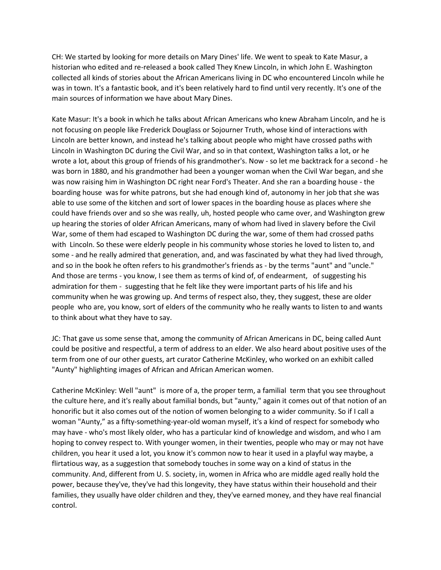CH: We started by looking for more details on Mary Dines' life. We went to speak to Kate Masur, a historian who edited and re-released a book called They Knew Lincoln, in which John E. Washington collected all kinds of stories about the African Americans living in DC who encountered Lincoln while he was in town. It's a fantastic book, and it's been relatively hard to find until very recently. It's one of the main sources of information we have about Mary Dines.

Kate Masur: It's a book in which he talks about African Americans who knew Abraham Lincoln, and he is not focusing on people like Frederick Douglass or Sojourner Truth, whose kind of interactions with Lincoln are better known, and instead he's talking about people who might have crossed paths with Lincoln in Washington DC during the Civil War, and so in that context, Washington talks a lot, or he wrote a lot, about this group of friends of his grandmother's. Now - so let me backtrack for a second - he was born in 1880, and his grandmother had been a younger woman when the Civil War began, and she was now raising him in Washington DC right near Ford's Theater. And she ran a boarding house - the boarding house was for white patrons, but she had enough kind of, autonomy in her job that she was able to use some of the kitchen and sort of lower spaces in the boarding house as places where she could have friends over and so she was really, uh, hosted people who came over, and Washington grew up hearing the stories of older African Americans, many of whom had lived in slavery before the Civil War, some of them had escaped to Washington DC during the war, some of them had crossed paths with Lincoln. So these were elderly people in his community whose stories he loved to listen to, and some - and he really admired that generation, and, and was fascinated by what they had lived through, and so in the book he often refers to his grandmother's friends as - by the terms "aunt" and "uncle." And those are terms - you know, I see them as terms of kind of, of endearment, of suggesting his admiration for them - suggesting that he felt like they were important parts of his life and his community when he was growing up. And terms of respect also, they, they suggest, these are older people who are, you know, sort of elders of the community who he really wants to listen to and wants to think about what they have to say.

JC: That gave us some sense that, among the community of African Americans in DC, being called Aunt could be positive and respectful, a term of address to an elder. We also heard about positive uses of the term from one of our other guests, art curator Catherine McKinley, who worked on an exhibit called "Aunty" highlighting images of African and African American women.

Catherine McKinley: Well "aunt" is more of a, the proper term, a familial term that you see throughout the culture here, and it's really about familial bonds, but "aunty," again it comes out of that notion of an honorific but it also comes out of the notion of women belonging to a wider community. So if I call a woman "Aunty," as a fifty-something-year-old woman myself, it's a kind of respect for somebody who may have - who's most likely older, who has a particular kind of knowledge and wisdom, and who I am hoping to convey respect to. With younger women, in their twenties, people who may or may not have children, you hear it used a lot, you know it's common now to hear it used in a playful way maybe, a flirtatious way, as a suggestion that somebody touches in some way on a kind of status in the community. And, different from U. S. society, in, women in Africa who are middle aged really hold the power, because they've, they've had this longevity, they have status within their household and their families, they usually have older children and they, they've earned money, and they have real financial control.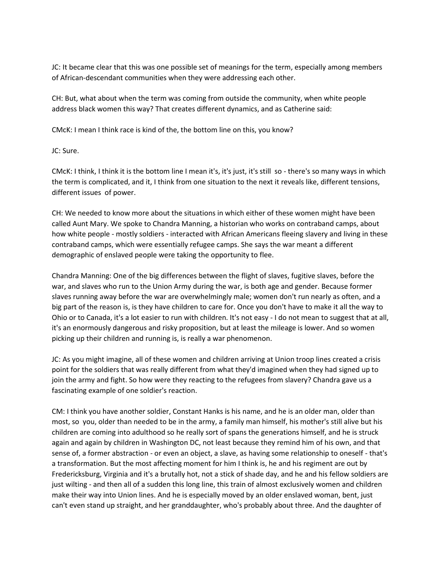JC: It became clear that this was one possible set of meanings for the term, especially among members of African-descendant communities when they were addressing each other.

CH: But, what about when the term was coming from outside the community, when white people address black women this way? That creates different dynamics, and as Catherine said:

CMcK: I mean I think race is kind of the, the bottom line on this, you know?

JC: Sure.

CMcK: I think, I think it is the bottom line I mean it's, it's just, it's still so - there's so many ways in which the term is complicated, and it, I think from one situation to the next it reveals like, different tensions, different issues of power.

CH: We needed to know more about the situations in which either of these women might have been called Aunt Mary. We spoke to Chandra Manning, a historian who works on contraband camps, about how white people - mostly soldiers - interacted with African Americans fleeing slavery and living in these contraband camps, which were essentially refugee camps. She says the war meant a different demographic of enslaved people were taking the opportunity to flee.

Chandra Manning: One of the big differences between the flight of slaves, fugitive slaves, before the war, and slaves who run to the Union Army during the war, is both age and gender. Because former slaves running away before the war are overwhelmingly male; women don't run nearly as often, and a big part of the reason is, is they have children to care for. Once you don't have to make it all the way to Ohio or to Canada, it's a lot easier to run with children. It's not easy - I do not mean to suggest that at all, it's an enormously dangerous and risky proposition, but at least the mileage is lower. And so women picking up their children and running is, is really a war phenomenon.

JC: As you might imagine, all of these women and children arriving at Union troop lines created a crisis point for the soldiers that was really different from what they'd imagined when they had signed up to join the army and fight. So how were they reacting to the refugees from slavery? Chandra gave us a fascinating example of one soldier's reaction.

CM: I think you have another soldier, Constant Hanks is his name, and he is an older man, older than most, so you, older than needed to be in the army, a family man himself, his mother's still alive but his children are coming into adulthood so he really sort of spans the generations himself, and he is struck again and again by children in Washington DC, not least because they remind him of his own, and that sense of, a former abstraction - or even an object, a slave, as having some relationship to oneself - that's a transformation. But the most affecting moment for him I think is, he and his regiment are out by Fredericksburg, Virginia and it's a brutally hot, not a stick of shade day, and he and his fellow soldiers are just wilting - and then all of a sudden this long line, this train of almost exclusively women and children make their way into Union lines. And he is especially moved by an older enslaved woman, bent, just can't even stand up straight, and her granddaughter, who's probably about three. And the daughter of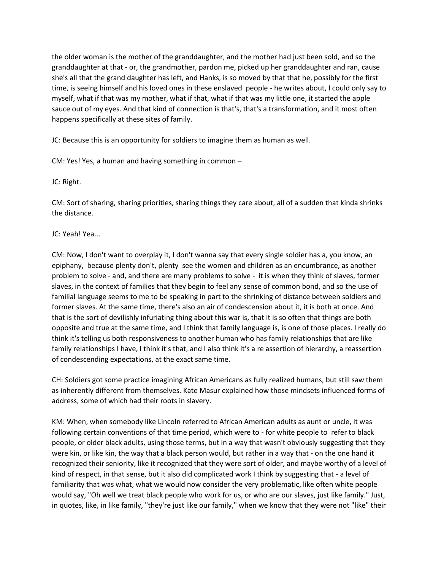the older woman is the mother of the granddaughter, and the mother had just been sold, and so the granddaughter at that - or, the grandmother, pardon me, picked up her granddaughter and ran, cause she's all that the grand daughter has left, and Hanks, is so moved by that that he, possibly for the first time, is seeing himself and his loved ones in these enslaved people - he writes about, I could only say to myself, what if that was my mother, what if that, what if that was my little one, it started the apple sauce out of my eyes. And that kind of connection is that's, that's a transformation, and it most often happens specifically at these sites of family.

JC: Because this is an opportunity for soldiers to imagine them as human as well.

CM: Yes! Yes, a human and having something in common –

JC: Right.

CM: Sort of sharing, sharing priorities, sharing things they care about, all of a sudden that kinda shrinks the distance.

## JC: Yeah! Yea...

CM: Now, I don't want to overplay it, I don't wanna say that every single soldier has a, you know, an epiphany, because plenty don't, plenty see the women and children as an encumbrance, as another problem to solve - and, and there are many problems to solve - it is when they think of slaves, former slaves, in the context of families that they begin to feel any sense of common bond, and so the use of familial language seems to me to be speaking in part to the shrinking of distance between soldiers and former slaves. At the same time, there's also an air of condescension about it, it is both at once. And that is the sort of devilishly infuriating thing about this war is, that it is so often that things are both opposite and true at the same time, and I think that family language is, is one of those places. I really do think it's telling us both responsiveness to another human who has family relationships that are like family relationships I have, I think it's that, and I also think it's a re assertion of hierarchy, a reassertion of condescending expectations, at the exact same time.

CH: Soldiers got some practice imagining African Americans as fully realized humans, but still saw them as inherently different from themselves. Kate Masur explained how those mindsets influenced forms of address, some of which had their roots in slavery.

KM: When, when somebody like Lincoln referred to African American adults as aunt or uncle, it was following certain conventions of that time period, which were to - for white people to refer to black people, or older black adults, using those terms, but in a way that wasn't obviously suggesting that they were kin, or like kin, the way that a black person would, but rather in a way that - on the one hand it recognized their seniority, like it recognized that they were sort of older, and maybe worthy of a level of kind of respect, in that sense, but it also did complicated work I think by suggesting that - a level of familiarity that was what, what we would now consider the very problematic, like often white people would say, "Oh well we treat black people who work for us, or who are our slaves, just like family." Just, in quotes, like, in like family, "they're just like our family," when we know that they were not "like" their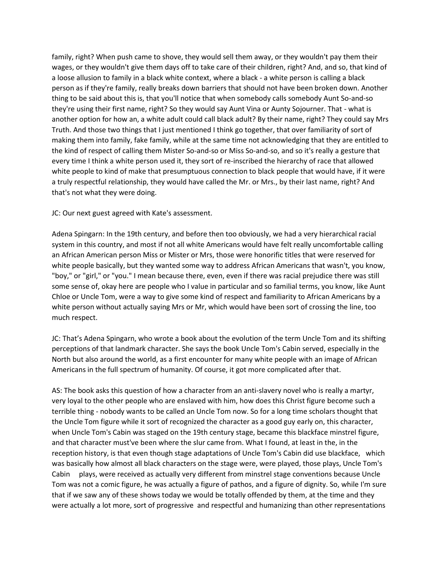family, right? When push came to shove, they would sell them away, or they wouldn't pay them their wages, or they wouldn't give them days off to take care of their children, right? And, and so, that kind of a loose allusion to family in a black white context, where a black - a white person is calling a black person as if they're family, really breaks down barriers that should not have been broken down. Another thing to be said about this is, that you'll notice that when somebody calls somebody Aunt So-and-so they're using their first name, right? So they would say Aunt Vina or Aunty Sojourner. That - what is another option for how an, a white adult could call black adult? By their name, right? They could say Mrs Truth. And those two things that I just mentioned I think go together, that over familiarity of sort of making them into family, fake family, while at the same time not acknowledging that they are entitled to the kind of respect of calling them Mister So-and-so or Miss So-and-so, and so it's really a gesture that every time I think a white person used it, they sort of re-inscribed the hierarchy of race that allowed white people to kind of make that presumptuous connection to black people that would have, if it were a truly respectful relationship, they would have called the Mr. or Mrs., by their last name, right? And that's not what they were doing.

JC: Our next guest agreed with Kate's assessment.

Adena Spingarn: In the 19th century, and before then too obviously, we had a very hierarchical racial system in this country, and most if not all white Americans would have felt really uncomfortable calling an African American person Miss or Mister or Mrs, those were honorific titles that were reserved for white people basically, but they wanted some way to address African Americans that wasn't, you know, "boy," or "girl," or "you." I mean because there, even, even if there was racial prejudice there was still some sense of, okay here are people who I value in particular and so familial terms, you know, like Aunt Chloe or Uncle Tom, were a way to give some kind of respect and familiarity to African Americans by a white person without actually saying Mrs or Mr, which would have been sort of crossing the line, too much respect.

JC: That's Adena Spingarn, who wrote a book about the evolution of the term Uncle Tom and its shifting perceptions of that landmark character. She says the book Uncle Tom's Cabin served, especially in the North but also around the world, as a first encounter for many white people with an image of African Americans in the full spectrum of humanity. Of course, it got more complicated after that.

AS: The book asks this question of how a character from an anti-slavery novel who is really a martyr, very loyal to the other people who are enslaved with him, how does this Christ figure become such a terrible thing - nobody wants to be called an Uncle Tom now. So for a long time scholars thought that the Uncle Tom figure while it sort of recognized the character as a good guy early on, this character, when Uncle Tom's Cabin was staged on the 19th century stage, became this blackface minstrel figure, and that character must've been where the slur came from. What I found, at least in the, in the reception history, is that even though stage adaptations of Uncle Tom's Cabin did use blackface, which was basically how almost all black characters on the stage were, were played, those plays, Uncle Tom's Cabin plays, were received as actually very different from minstrel stage conventions because Uncle Tom was not a comic figure, he was actually a figure of pathos, and a figure of dignity. So, while I'm sure that if we saw any of these shows today we would be totally offended by them, at the time and they were actually a lot more, sort of progressive and respectful and humanizing than other representations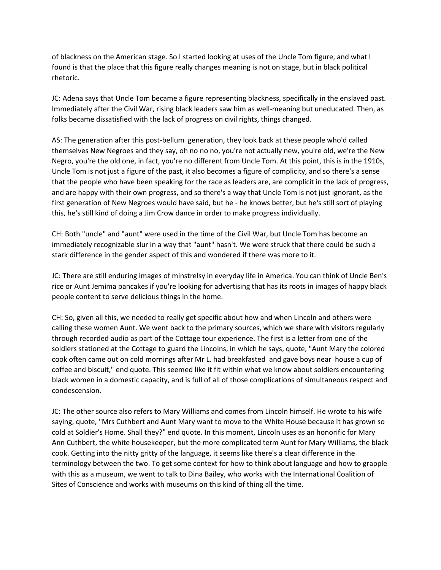of blackness on the American stage. So I started looking at uses of the Uncle Tom figure, and what I found is that the place that this figure really changes meaning is not on stage, but in black political rhetoric.

JC: Adena says that Uncle Tom became a figure representing blackness, specifically in the enslaved past. Immediately after the Civil War, rising black leaders saw him as well-meaning but uneducated. Then, as folks became dissatisfied with the lack of progress on civil rights, things changed.

AS: The generation after this post-bellum generation, they look back at these people who'd called themselves New Negroes and they say, oh no no no, you're not actually new, you're old, we're the New Negro, you're the old one, in fact, you're no different from Uncle Tom. At this point, this is in the 1910s, Uncle Tom is not just a figure of the past, it also becomes a figure of complicity, and so there's a sense that the people who have been speaking for the race as leaders are, are complicit in the lack of progress, and are happy with their own progress, and so there's a way that Uncle Tom is not just ignorant, as the first generation of New Negroes would have said, but he - he knows better, but he's still sort of playing this, he's still kind of doing a Jim Crow dance in order to make progress individually.

CH: Both "uncle" and "aunt" were used in the time of the Civil War, but Uncle Tom has become an immediately recognizable slur in a way that "aunt" hasn't. We were struck that there could be such a stark difference in the gender aspect of this and wondered if there was more to it.

JC: There are still enduring images of minstrelsy in everyday life in America. You can think of Uncle Ben's rice or Aunt Jemima pancakes if you're looking for advertising that has its roots in images of happy black people content to serve delicious things in the home.

CH: So, given all this, we needed to really get specific about how and when Lincoln and others were calling these women Aunt. We went back to the primary sources, which we share with visitors regularly through recorded audio as part of the Cottage tour experience. The first is a letter from one of the soldiers stationed at the Cottage to guard the Lincolns, in which he says, quote, "Aunt Mary the colored cook often came out on cold mornings after Mr L. had breakfasted and gave boys near house a cup of coffee and biscuit," end quote. This seemed like it fit within what we know about soldiers encountering black women in a domestic capacity, and is full of all of those complications of simultaneous respect and condescension.

JC: The other source also refers to Mary Williams and comes from Lincoln himself. He wrote to his wife saying, quote, "Mrs Cuthbert and Aunt Mary want to move to the White House because it has grown so cold at Soldier's Home. Shall they?" end quote. In this moment, Lincoln uses as an honorific for Mary Ann Cuthbert, the white housekeeper, but the more complicated term Aunt for Mary Williams, the black cook. Getting into the nitty gritty of the language, it seems like there's a clear difference in the terminology between the two. To get some context for how to think about language and how to grapple with this as a museum, we went to talk to Dina Bailey, who works with the International Coalition of Sites of Conscience and works with museums on this kind of thing all the time.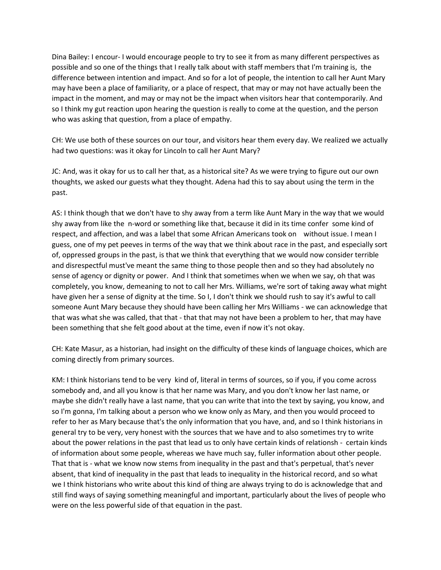Dina Bailey: I encour- I would encourage people to try to see it from as many different perspectives as possible and so one of the things that I really talk about with staff members that I'm training is, the difference between intention and impact. And so for a lot of people, the intention to call her Aunt Mary may have been a place of familiarity, or a place of respect, that may or may not have actually been the impact in the moment, and may or may not be the impact when visitors hear that contemporarily. And so I think my gut reaction upon hearing the question is really to come at the question, and the person who was asking that question, from a place of empathy.

CH: We use both of these sources on our tour, and visitors hear them every day. We realized we actually had two questions: was it okay for Lincoln to call her Aunt Mary?

JC: And, was it okay for us to call her that, as a historical site? As we were trying to figure out our own thoughts, we asked our guests what they thought. Adena had this to say about using the term in the past.

AS: I think though that we don't have to shy away from a term like Aunt Mary in the way that we would shy away from like the n-word or something like that, because it did in its time confer some kind of respect, and affection, and was a label that some African Americans took on without issue. I mean I guess, one of my pet peeves in terms of the way that we think about race in the past, and especially sort of, oppressed groups in the past, is that we think that everything that we would now consider terrible and disrespectful must've meant the same thing to those people then and so they had absolutely no sense of agency or dignity or power. And I think that sometimes when we when we say, oh that was completely, you know, demeaning to not to call her Mrs. Williams, we're sort of taking away what might have given her a sense of dignity at the time. So I, I don't think we should rush to say it's awful to call someone Aunt Mary because they should have been calling her Mrs Williams - we can acknowledge that that was what she was called, that that - that that may not have been a problem to her, that may have been something that she felt good about at the time, even if now it's not okay.

CH: Kate Masur, as a historian, had insight on the difficulty of these kinds of language choices, which are coming directly from primary sources.

KM: I think historians tend to be very kind of, literal in terms of sources, so if you, if you come across somebody and, and all you know is that her name was Mary, and you don't know her last name, or maybe she didn't really have a last name, that you can write that into the text by saying, you know, and so I'm gonna, I'm talking about a person who we know only as Mary, and then you would proceed to refer to her as Mary because that's the only information that you have, and, and so I think historians in general try to be very, very honest with the sources that we have and to also sometimes try to write about the power relations in the past that lead us to only have certain kinds of relationsh - certain kinds of information about some people, whereas we have much say, fuller information about other people. That that is - what we know now stems from inequality in the past and that's perpetual, that's never absent, that kind of inequality in the past that leads to inequality in the historical record, and so what we I think historians who write about this kind of thing are always trying to do is acknowledge that and still find ways of saying something meaningful and important, particularly about the lives of people who were on the less powerful side of that equation in the past.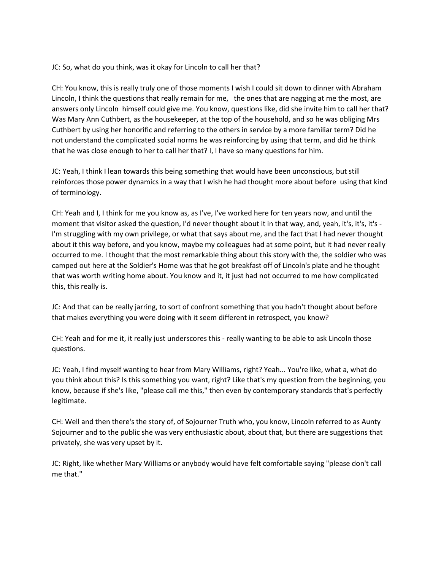JC: So, what do you think, was it okay for Lincoln to call her that?

CH: You know, this is really truly one of those moments I wish I could sit down to dinner with Abraham Lincoln, I think the questions that really remain for me, the ones that are nagging at me the most, are answers only Lincoln himself could give me. You know, questions like, did she invite him to call her that? Was Mary Ann Cuthbert, as the housekeeper, at the top of the household, and so he was obliging Mrs Cuthbert by using her honorific and referring to the others in service by a more familiar term? Did he not understand the complicated social norms he was reinforcing by using that term, and did he think that he was close enough to her to call her that? I, I have so many questions for him.

JC: Yeah, I think I lean towards this being something that would have been unconscious, but still reinforces those power dynamics in a way that I wish he had thought more about before using that kind of terminology.

CH: Yeah and I, I think for me you know as, as I've, I've worked here for ten years now, and until the moment that visitor asked the question, I'd never thought about it in that way, and, yeah, it's, it's, it's - I'm struggling with my own privilege, or what that says about me, and the fact that I had never thought about it this way before, and you know, maybe my colleagues had at some point, but it had never really occurred to me. I thought that the most remarkable thing about this story with the, the soldier who was camped out here at the Soldier's Home was that he got breakfast off of Lincoln's plate and he thought that was worth writing home about. You know and it, it just had not occurred to me how complicated this, this really is.

JC: And that can be really jarring, to sort of confront something that you hadn't thought about before that makes everything you were doing with it seem different in retrospect, you know?

CH: Yeah and for me it, it really just underscores this - really wanting to be able to ask Lincoln those questions.

JC: Yeah, I find myself wanting to hear from Mary Williams, right? Yeah... You're like, what a, what do you think about this? Is this something you want, right? Like that's my question from the beginning, you know, because if she's like, "please call me this," then even by contemporary standards that's perfectly legitimate.

CH: Well and then there's the story of, of Sojourner Truth who, you know, Lincoln referred to as Aunty Sojourner and to the public she was very enthusiastic about, about that, but there are suggestions that privately, she was very upset by it.

JC: Right, like whether Mary Williams or anybody would have felt comfortable saying "please don't call me that."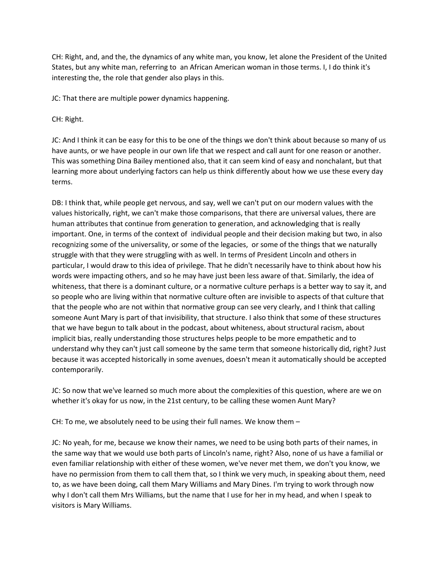CH: Right, and, and the, the dynamics of any white man, you know, let alone the President of the United States, but any white man, referring to an African American woman in those terms. I, I do think it's interesting the, the role that gender also plays in this.

JC: That there are multiple power dynamics happening.

CH: Right.

JC: And I think it can be easy for this to be one of the things we don't think about because so many of us have aunts, or we have people in our own life that we respect and call aunt for one reason or another. This was something Dina Bailey mentioned also, that it can seem kind of easy and nonchalant, but that learning more about underlying factors can help us think differently about how we use these every day terms.

DB: I think that, while people get nervous, and say, well we can't put on our modern values with the values historically, right, we can't make those comparisons, that there are universal values, there are human attributes that continue from generation to generation, and acknowledging that is really important. One, in terms of the context of individual people and their decision making but two, in also recognizing some of the universality, or some of the legacies, or some of the things that we naturally struggle with that they were struggling with as well. In terms of President Lincoln and others in particular, I would draw to this idea of privilege. That he didn't necessarily have to think about how his words were impacting others, and so he may have just been less aware of that. Similarly, the idea of whiteness, that there is a dominant culture, or a normative culture perhaps is a better way to say it, and so people who are living within that normative culture often are invisible to aspects of that culture that that the people who are not within that normative group can see very clearly, and I think that calling someone Aunt Mary is part of that invisibility, that structure. I also think that some of these structures that we have begun to talk about in the podcast, about whiteness, about structural racism, about implicit bias, really understanding those structures helps people to be more empathetic and to understand why they can't just call someone by the same term that someone historically did, right? Just because it was accepted historically in some avenues, doesn't mean it automatically should be accepted contemporarily.

JC: So now that we've learned so much more about the complexities of this question, where are we on whether it's okay for us now, in the 21st century, to be calling these women Aunt Mary?

CH: To me, we absolutely need to be using their full names. We know them –

JC: No yeah, for me, because we know their names, we need to be using both parts of their names, in the same way that we would use both parts of Lincoln's name, right? Also, none of us have a familial or even familiar relationship with either of these women, we've never met them, we don't you know, we have no permission from them to call them that, so I think we very much, in speaking about them, need to, as we have been doing, call them Mary Williams and Mary Dines. I'm trying to work through now why I don't call them Mrs Williams, but the name that I use for her in my head, and when I speak to visitors is Mary Williams.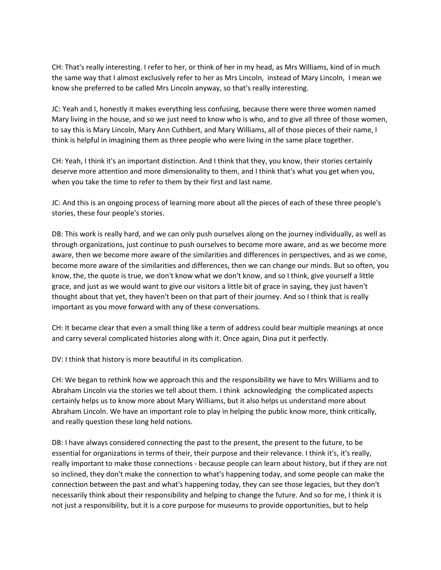CH: That's really interesting. I refer to her, or think of her in my head, as Mrs Williams, kind of in much the same way that I almost exclusively refer to her as Mrs Lincoln, instead of Mary Lincoln, I mean we know she preferred to be called Mrs Lincoln anyway, so that's really interesting.

JC: Yeah and I, honestly it makes everything less confusing, because there were three women named Mary living in the house, and so we just need to know who is who, and to give all three of those women, to say this is Mary Lincoln, Mary Ann Cuthbert, and Mary Williams, all of those pieces of their name, I think is helpful in imagining them as three people who were living in the same place together.

CH: Yeah, I think it's an important distinction. And I think that they, you know, their stories certainly deserve more attention and more dimensionality to them, and I think that's what you get when you, when you take the time to refer to them by their first and last name.

JC: And this is an ongoing process of learning more about all the pieces of each of these three people's stories, these four people's stories.

DB: This work is really hard, and we can only push ourselves along on the journey individually, as well as through organizations, just continue to push ourselves to become more aware, and as we become more aware, then we become more aware of the similarities and differences in perspectives, and as we come, become more aware of the similarities and differences, then we can change our minds. But so often, you know, the, the quote is true, we don't know what we don't know, and so I think, give yourself a little grace, and just as we would want to give our visitors a little bit of grace in saying, they just haven't thought about that yet, they haven't been on that part of their journey. And so I think that is really important as you move forward with any of these conversations.

CH: It became clear that even a small thing like a term of address could bear multiple meanings at once and carry several complicated histories along with it. Once again, Dina put it perfectly.

DV: I think that history is more beautiful in its complication.

CH: We began to rethink how we approach this and the responsibility we have to Mrs Williams and to Abraham Lincoln via the stories we tell about them. I think acknowledging the complicated aspects certainly helps us to know more about Mary Williams, but it also helps us understand more about Abraham Lincoln. We have an important role to play in helping the public know more, think critically, and really question these long held notions.

DB: I have always considered connecting the past to the present, the present to the future, to be essential for organizations in terms of their, their purpose and their relevance. I think it's, it's really, really important to make those connections - because people can learn about history, but if they are not so inclined, they don't make the connection to what's happening today, and some people can make the connection between the past and what's happening today, they can see those legacies, but they don't necessarily think about their responsibility and helping to change the future. And so for me, I think it is not just a responsibility, but it is a core purpose for museums to provide opportunities, but to help